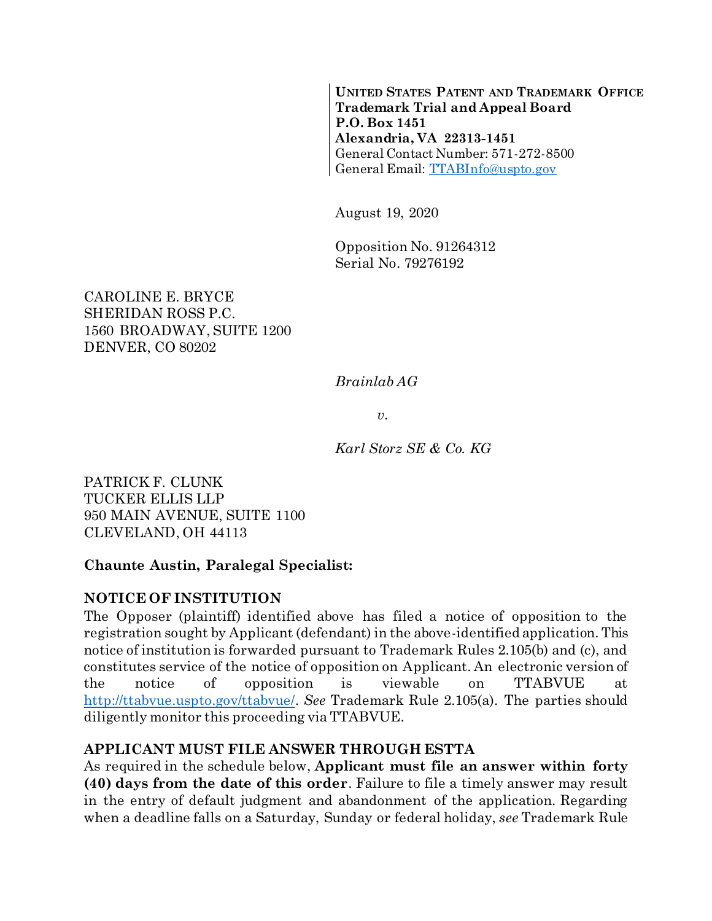**UNITED STATES PATENT AND TRADEMARK OFFICE Trademark Trial and Appeal Board P.O. Box 1451 Alexandria, VA 22313-1451** General Contact Number: 571-272-8500 General Email: [TTABInfo@uspto.gov](mailto:TTABInfo@uspto.gov)

August 19, 2020

Opposition No. 91264312 Serial No. 79276192

CAROLINE E. BRYCE SHERIDAN ROSS P.C. 1560 BROADWAY, SUITE 1200 DENVER, CO 80202

*Brainlab AG*

*v.*

*Karl Storz SE & Co. KG*

PATRICK F. CLUNK TUCKER ELLIS LLP 950 MAIN AVENUE, SUITE 1100 CLEVELAND, OH 44113

#### **Chaunte Austin, Paralegal Specialist:**

#### **NOTICE OF INSTITUTION**

The Opposer (plaintiff) identified above has filed a notice of opposition to the registration sought by Applicant (defendant) in the above-identified application. This notice of institution is forwarded pursuant to Trademark Rules 2.105(b) and (c), and constitutes service of the notice of opposition on Applicant. An electronic version of the notice of opposition is viewable on TTABVUE at [http://ttabvue.uspto.gov/ttabvue/.](http://ttabvue.uspto.gov/ttabvue/) *See* Trademark Rule 2.105(a). The parties should diligently monitor this proceeding via TTABVUE.

### **APPLICANT MUST FILE ANSWER THROUGH ESTTA**

As required in the schedule below, **Applicant must file an answer within forty (40) days from the date of this order**. Failure to file a timely answer may result in the entry of default judgment and abandonment of the application. Regarding when a deadline falls on a Saturday, Sunday or federal holiday, *see* Trademark Rule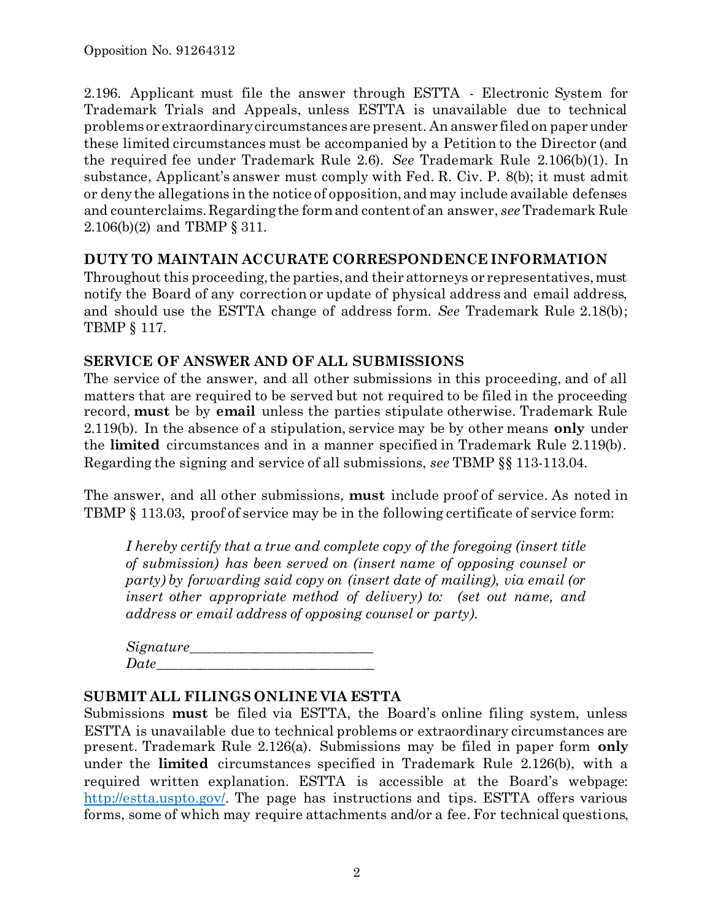2.196. Applicant must file the answer through ESTTA - Electronic System for Trademark Trials and Appeals, unless ESTTA is unavailable due to technical problems or extraordinary circumstances are present. An answer filed on paper under these limited circumstances must be accompanied by a Petition to the Director (and the required fee under Trademark Rule 2.6). *See* Trademark Rule 2.106(b)(1). In substance, Applicant's answer must comply with Fed. R. Civ. P. 8(b); it must admit or deny the allegations in the notice of opposition, and may include available defenses and counterclaims. Regarding the form and content of an answer, *see*Trademark Rule 2.106(b)(2) and TBMP § 311.

### **DUTY TO MAINTAIN ACCURATE CORRESPONDENCE INFORMATION**

Throughout this proceeding, the parties, and their attorneys or representatives, must notify the Board of any correction or update of physical address and email address, and should use the ESTTA change of address form. *See* Trademark Rule 2.18(b); TBMP § 117.

#### **SERVICE OF ANSWER AND OF ALL SUBMISSIONS**

The service of the answer, and all other submissions in this proceeding, and of all matters that are required to be served but not required to be filed in the proceeding record, **must** be by **email** unless the parties stipulate otherwise. Trademark Rule 2.119(b). In the absence of a stipulation, service may be by other means **only** under the **limited** circumstances and in a manner specified in Trademark Rule 2.119(b). Regarding the signing and service of all submissions, *see* TBMP §§ 113-113.04.

The answer, and all other submissions, **must** include proof of service. As noted in TBMP § 113.03, proof of service may be in the following certificate of service form:

*I hereby certify that a true and complete copy of the foregoing (insert title of submission) has been served on (insert name of opposing counsel or party) by forwarding said copy on (insert date of mailing), via email (or insert other appropriate method of delivery) to: (set out name, and address or email address of opposing counsel or party).*

| Signature_ |  |
|------------|--|
| Date       |  |

### **SUBMIT ALL FILINGS ONLINE VIA ESTTA**

Submissions **must** be filed via ESTTA, the Board's online filing system, unless ESTTA is unavailable due to technical problems or extraordinary circumstances are present. Trademark Rule 2.126(a). Submissions may be filed in paper form **only** under the **limited** circumstances specified in Trademark Rule 2.126(b), with a required written explanation. ESTTA is accessible at the Board's webpage: [http://estta.uspto.gov/.](http://estta.uspto.gov/) The page has instructions and tips. ESTTA offers various forms, some of which may require attachments and/or a fee. For technical questions,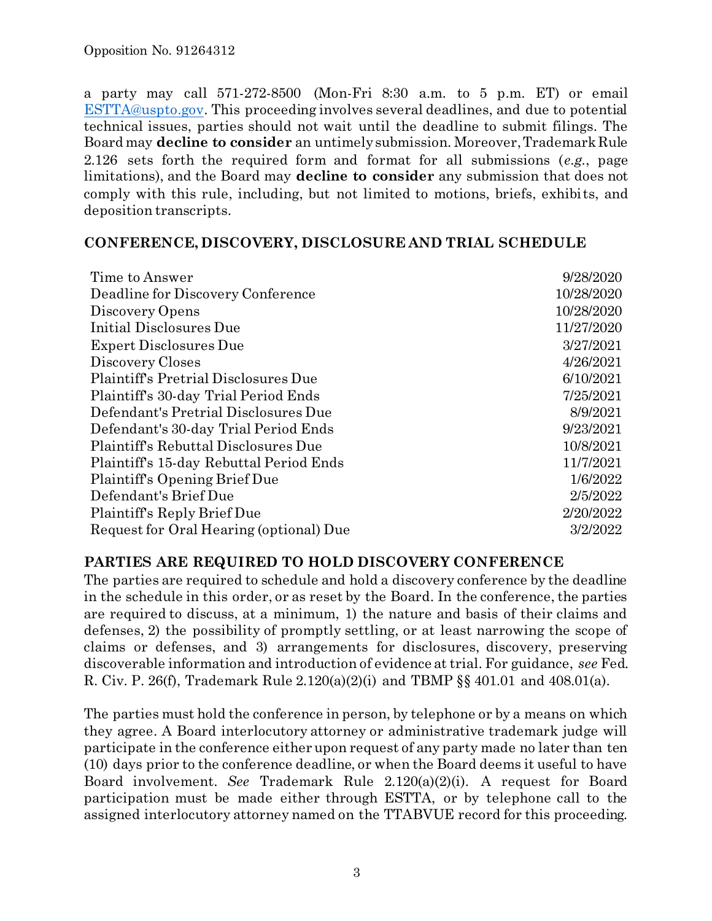a party may call 571-272-8500 (Mon-Fri 8:30 a.m. to 5 p.m. ET) or email [ESTTA@uspto.gov.](mailto:ESTTA@uspto.gov) This proceeding involves several deadlines, and due to potential technical issues, parties should not wait until the deadline to submit filings. The Board may **decline to consider** an untimely submission. Moreover, Trademark Rule 2.126 sets forth the required form and format for all submissions (*e.g.*, page limitations), and the Board may **decline to consider** any submission that does not comply with this rule, including, but not limited to motions, briefs, exhibits, and deposition transcripts.

#### **CONFERENCE, DISCOVERY, DISCLOSURE AND TRIAL SCHEDULE**

| Time to Answer                          | 9/28/2020  |
|-----------------------------------------|------------|
| Deadline for Discovery Conference       | 10/28/2020 |
| Discovery Opens                         | 10/28/2020 |
| Initial Disclosures Due                 | 11/27/2020 |
| <b>Expert Disclosures Due</b>           | 3/27/2021  |
| Discovery Closes                        | 4/26/2021  |
| Plaintiff's Pretrial Disclosures Due    | 6/10/2021  |
| Plaintiff's 30-day Trial Period Ends    | 7/25/2021  |
| Defendant's Pretrial Disclosures Due    | 8/9/2021   |
| Defendant's 30-day Trial Period Ends    | 9/23/2021  |
| Plaintiff's Rebuttal Disclosures Due    | 10/8/2021  |
| Plaintiff's 15-day Rebuttal Period Ends | 11/7/2021  |
| Plaintiff's Opening Brief Due           | 1/6/2022   |
| Defendant's Brief Due                   | 2/5/2022   |
| Plaintiff's Reply Brief Due             | 2/20/2022  |
| Request for Oral Hearing (optional) Due | 3/2/2022   |

### **PARTIES ARE REQUIRED TO HOLD DISCOVERY CONFERENCE**

The parties are required to schedule and hold a discovery conference by the deadline in the schedule in this order, or as reset by the Board. In the conference, the parties are required to discuss, at a minimum, 1) the nature and basis of their claims and defenses, 2) the possibility of promptly settling, or at least narrowing the scope of claims or defenses, and 3) arrangements for disclosures, discovery, preserving discoverable information and introduction of evidence at trial. For guidance, *see* Fed. R. Civ. P. 26(f), Trademark Rule 2.120(a)(2)(i) and TBMP §§ 401.01 and 408.01(a).

The parties must hold the conference in person, by telephone or by a means on which they agree. A Board interlocutory attorney or administrative trademark judge will participate in the conference either upon request of any party made no later than ten (10) days prior to the conference deadline, or when the Board deems it useful to have Board involvement. *See* Trademark Rule 2.120(a)(2)(i). A request for Board participation must be made either through ESTTA, or by telephone call to the assigned interlocutory attorney named on the TTABVUE record for this proceeding.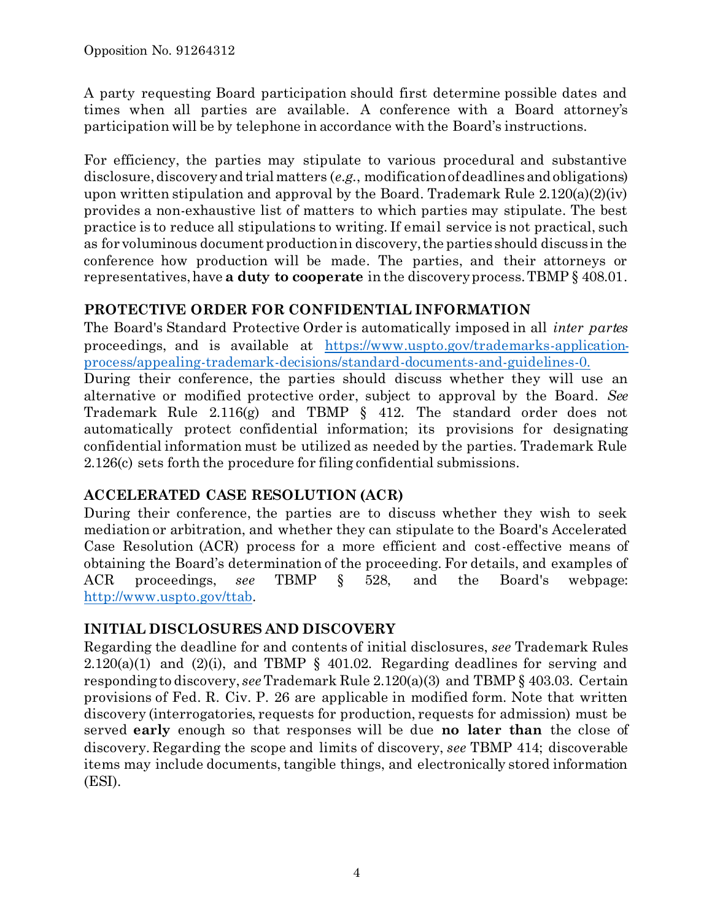A party requesting Board participation should first determine possible dates and times when all parties are available. A conference with a Board attorney's participation will be by telephone in accordance with the Board's instructions.

For efficiency, the parties may stipulate to various procedural and substantive disclosure, discovery and trial matters (*e.g.*, modification of deadlines and obligations) upon written stipulation and approval by the Board. Trademark Rule  $2.120(a)(2)(iv)$ provides a non-exhaustive list of matters to which parties may stipulate. The best practice is to reduce all stipulations to writing. If email service is not practical, such as for voluminous document production in discovery, the parties should discuss in the conference how production will be made. The parties, and their attorneys or representatives, have **a duty to cooperate** in the discovery process. TBMP § 408.01.

## **PROTECTIVE ORDER FOR CONFIDENTIAL INFORMATION**

The Board's Standard Protective Order is automatically imposed in all *inter partes* proceedings, and is available at [https://www.uspto.gov/trademarks-application](https://www.uspto.gov/trademarks-application-process/appealing-trademark-decisions/standard-documents-and-guidelines-0)[process/appealing-trademark-decisions/standard-documents-and-guidelines-0.](https://www.uspto.gov/trademarks-application-process/appealing-trademark-decisions/standard-documents-and-guidelines-0) During their conference, the parties should discuss whether they will use an alternative or modified protective order, subject to approval by the Board. *See* Trademark Rule 2.116(g) and TBMP § 412. The standard order does not automatically protect confidential information; its provisions for designating confidential information must be utilized as needed by the parties. Trademark Rule 2.126(c) sets forth the procedure for filing confidential submissions.

## **ACCELERATED CASE RESOLUTION (ACR)**

During their conference, the parties are to discuss whether they wish to seek mediation or arbitration, and whether they can stipulate to the Board's Accelerated Case Resolution (ACR) process for a more efficient and cost-effective means of obtaining the Board's determination of the proceeding. For details, and examples of ACR proceedings, *see* TBMP § 528, and the Board's webpage: [http://www.uspto.gov/ttab.](http://www.uspto.gov/ttab)

### **INITIAL DISCLOSURES AND DISCOVERY**

Regarding the deadline for and contents of initial disclosures, *see* Trademark Rules  $2.120(a)(1)$  and  $(2)(i)$ , and TBMP § 401.02. Regarding deadlines for serving and responding to discovery, *see*Trademark Rule 2.120(a)(3) and TBMP § 403.03. Certain provisions of Fed. R. Civ. P. 26 are applicable in modified form. Note that written discovery (interrogatories, requests for production, requests for admission) must be served **early** enough so that responses will be due **no later than** the close of discovery. Regarding the scope and limits of discovery, *see* TBMP 414; discoverable items may include documents, tangible things, and electronically stored information (ESI).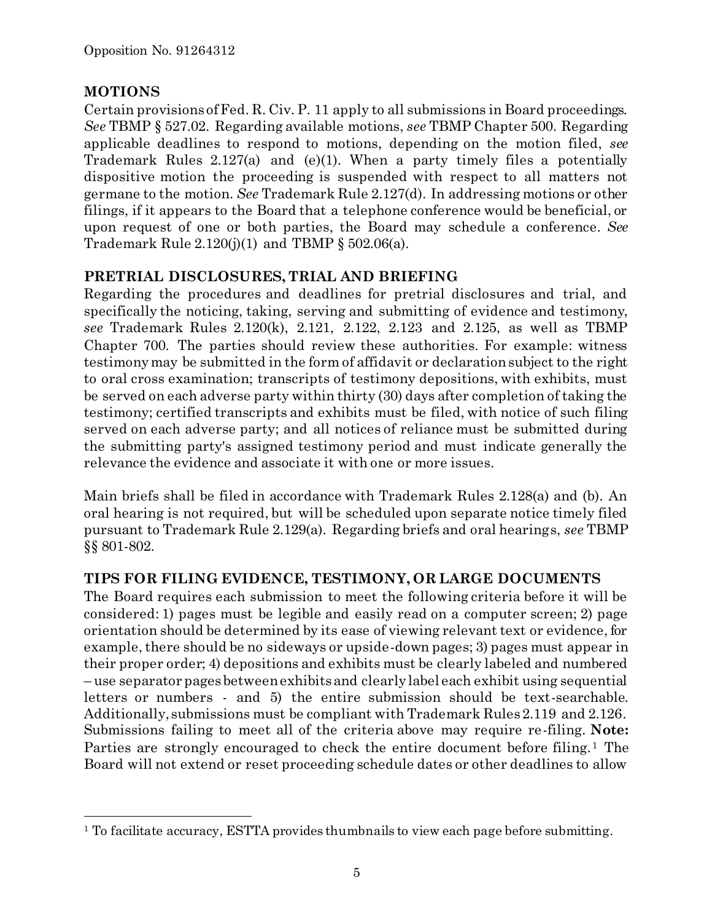## **MOTIONS**

l

Certain provisions of Fed. R. Civ. P. 11 apply to all submissions in Board proceedings. *See* TBMP § 527.02. Regarding available motions, *see* TBMP Chapter 500. Regarding applicable deadlines to respond to motions, depending on the motion filed, *see* Trademark Rules 2.127(a) and (e)(1). When a party timely files a potentially dispositive motion the proceeding is suspended with respect to all matters not germane to the motion. *See* Trademark Rule 2.127(d). In addressing motions or other filings, if it appears to the Board that a telephone conference would be beneficial, or upon request of one or both parties, the Board may schedule a conference. *See* Trademark Rule  $2.120(j)(1)$  and TBMP § 502.06(a).

## **PRETRIAL DISCLOSURES, TRIAL AND BRIEFING**

Regarding the procedures and deadlines for pretrial disclosures and trial, and specifically the noticing, taking, serving and submitting of evidence and testimony, *see* Trademark Rules 2.120(k), 2.121, 2.122, 2.123 and 2.125, as well as TBMP Chapter 700. The parties should review these authorities. For example: witness testimony may be submitted in the form of affidavit or declaration subject to the right to oral cross examination; transcripts of testimony depositions, with exhibits, must be served on each adverse party within thirty (30) days after completion of taking the testimony; certified transcripts and exhibits must be filed, with notice of such filing served on each adverse party; and all notices of reliance must be submitted during the submitting party's assigned testimony period and must indicate generally the relevance the evidence and associate it with one or more issues.

Main briefs shall be filed in accordance with Trademark Rules 2.128(a) and (b). An oral hearing is not required, but will be scheduled upon separate notice timely filed pursuant to Trademark Rule 2.129(a). Regarding briefs and oral hearings, *see* TBMP §§ 801-802.

# **TIPS FOR FILING EVIDENCE, TESTIMONY, OR LARGE DOCUMENTS**

The Board requires each submission to meet the following criteria before it will be considered: 1) pages must be legible and easily read on a computer screen; 2) page orientation should be determined by its ease of viewing relevant text or evidence, for example, there should be no sideways or upside-down pages; 3) pages must appear in their proper order; 4) depositions and exhibits must be clearly labeled and numbered – use separator pages between exhibits and clearly label each exhibit using sequential letters or numbers - and 5) the entire submission should be text-searchable. Additionally, submissions must be compliant with Trademark Rules 2.119 and 2.126. Submissions failing to meet all of the criteria above may require re-filing. **Note:** Parties are strongly encouraged to check the entire document before filing.<sup>1</sup> The Board will not extend or reset proceeding schedule dates or other deadlines to allow

<sup>&</sup>lt;sup>1</sup> To facilitate accuracy, ESTTA provides thumbnails to view each page before submitting.